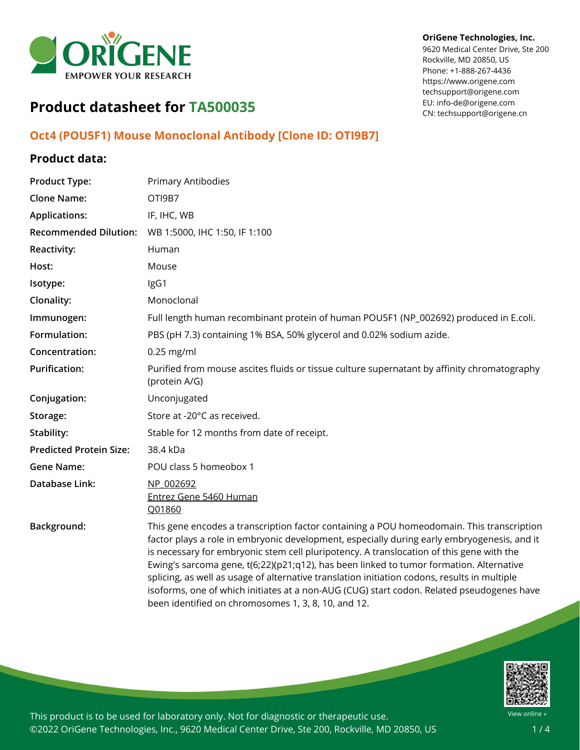

#### **OriGene Technologies, Inc.**

9620 Medical Center Drive, Ste 200 Rockville, MD 20850, US Phone: +1-888-267-4436 https://www.origene.com techsupport@origene.com EU: info-de@origene.com CN: techsupport@origene.cn

# **Product datasheet for TA500035**

## **Oct4 (POU5F1) Mouse Monoclonal Antibody [Clone ID: OTI9B7]**

### **Product data:**

| <b>Product Type:</b>           | <b>Primary Antibodies</b>                                                                                                                                                                                                                                                                                                                                                                                                                                                                                                                                                                                                           |
|--------------------------------|-------------------------------------------------------------------------------------------------------------------------------------------------------------------------------------------------------------------------------------------------------------------------------------------------------------------------------------------------------------------------------------------------------------------------------------------------------------------------------------------------------------------------------------------------------------------------------------------------------------------------------------|
| <b>Clone Name:</b>             | OTI9B7                                                                                                                                                                                                                                                                                                                                                                                                                                                                                                                                                                                                                              |
| <b>Applications:</b>           | IF, IHC, WB                                                                                                                                                                                                                                                                                                                                                                                                                                                                                                                                                                                                                         |
| <b>Recommended Dilution:</b>   | WB 1:5000, IHC 1:50, IF 1:100                                                                                                                                                                                                                                                                                                                                                                                                                                                                                                                                                                                                       |
| <b>Reactivity:</b>             | Human                                                                                                                                                                                                                                                                                                                                                                                                                                                                                                                                                                                                                               |
| Host:                          | Mouse                                                                                                                                                                                                                                                                                                                                                                                                                                                                                                                                                                                                                               |
| Isotype:                       | IgG1                                                                                                                                                                                                                                                                                                                                                                                                                                                                                                                                                                                                                                |
| Clonality:                     | Monoclonal                                                                                                                                                                                                                                                                                                                                                                                                                                                                                                                                                                                                                          |
| Immunogen:                     | Full length human recombinant protein of human POU5F1 (NP_002692) produced in E.coli.                                                                                                                                                                                                                                                                                                                                                                                                                                                                                                                                               |
| Formulation:                   | PBS (pH 7.3) containing 1% BSA, 50% glycerol and 0.02% sodium azide.                                                                                                                                                                                                                                                                                                                                                                                                                                                                                                                                                                |
| Concentration:                 | $0.25$ mg/ml                                                                                                                                                                                                                                                                                                                                                                                                                                                                                                                                                                                                                        |
| <b>Purification:</b>           | Purified from mouse ascites fluids or tissue culture supernatant by affinity chromatography<br>(protein A/G)                                                                                                                                                                                                                                                                                                                                                                                                                                                                                                                        |
| Conjugation:                   | Unconjugated                                                                                                                                                                                                                                                                                                                                                                                                                                                                                                                                                                                                                        |
| Storage:                       | Store at -20°C as received.                                                                                                                                                                                                                                                                                                                                                                                                                                                                                                                                                                                                         |
| Stability:                     | Stable for 12 months from date of receipt.                                                                                                                                                                                                                                                                                                                                                                                                                                                                                                                                                                                          |
| <b>Predicted Protein Size:</b> | 38.4 kDa                                                                                                                                                                                                                                                                                                                                                                                                                                                                                                                                                                                                                            |
| <b>Gene Name:</b>              | POU class 5 homeobox 1                                                                                                                                                                                                                                                                                                                                                                                                                                                                                                                                                                                                              |
| Database Link:                 | NP 002692<br>Entrez Gene 5460 Human<br>Q01860                                                                                                                                                                                                                                                                                                                                                                                                                                                                                                                                                                                       |
| Background:                    | This gene encodes a transcription factor containing a POU homeodomain. This transcription<br>factor plays a role in embryonic development, especially during early embryogenesis, and it<br>is necessary for embryonic stem cell pluripotency. A translocation of this gene with the<br>Ewing's sarcoma gene, t(6;22)(p21;q12), has been linked to tumor formation. Alternative<br>splicing, as well as usage of alternative translation initiation codons, results in multiple<br>isoforms, one of which initiates at a non-AUG (CUG) start codon. Related pseudogenes have<br>been identified on chromosomes 1, 3, 8, 10, and 12. |

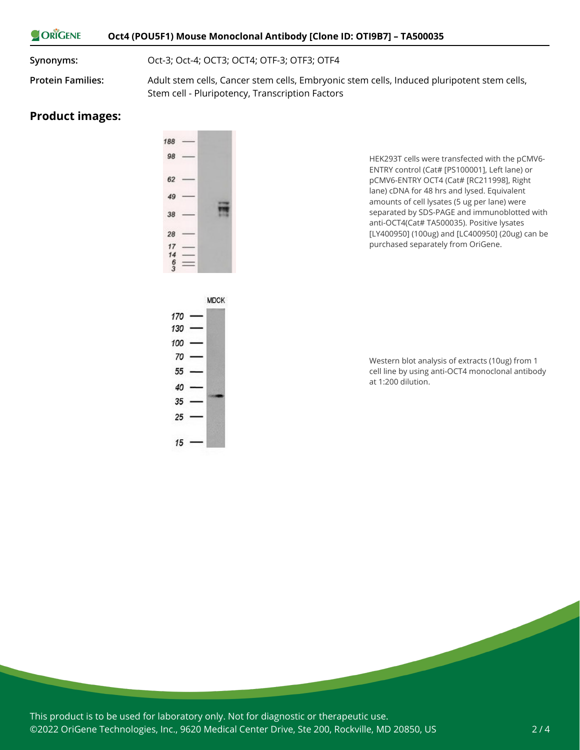#### ORIGENE **Oct4 (POU5F1) Mouse Monoclonal Antibody [Clone ID: OTI9B7] – TA500035**

**Synonyms:** Oct-3; Oct-4; OCT3; OCT4; OTF-3; OTF3; OTF4

**Protein Families:** Adult stem cells, Cancer stem cells, Embryonic stem cells, Induced pluripotent stem cells, Stem cell - Pluripotency, Transcription Factors

#### **Product images:**

| 188          |  |
|--------------|--|
| 98           |  |
| 62           |  |
| 49           |  |
| 38           |  |
| 28           |  |
|              |  |
| $17$<br>$14$ |  |
| 6            |  |
|              |  |

HEK293T cells were transfected with the pCMV6- ENTRY control (Cat# [PS100001], Left lane) or pCMV6-ENTRY OCT4 (Cat# [RC211998], Right lane) cDNA for 48 hrs and lysed. Equivalent amounts of cell lysates (5 ug per lane) were separated by SDS-PAGE and immunoblotted with anti-OCT4(Cat# TA500035). Positive lysates [LY400950] (100ug) and [LC400950] (20ug) can be purchased separately from OriGene.



Western blot analysis of extracts (10ug) from 1 cell line by using anti-OCT4 monoclonal antibody at 1:200 dilution.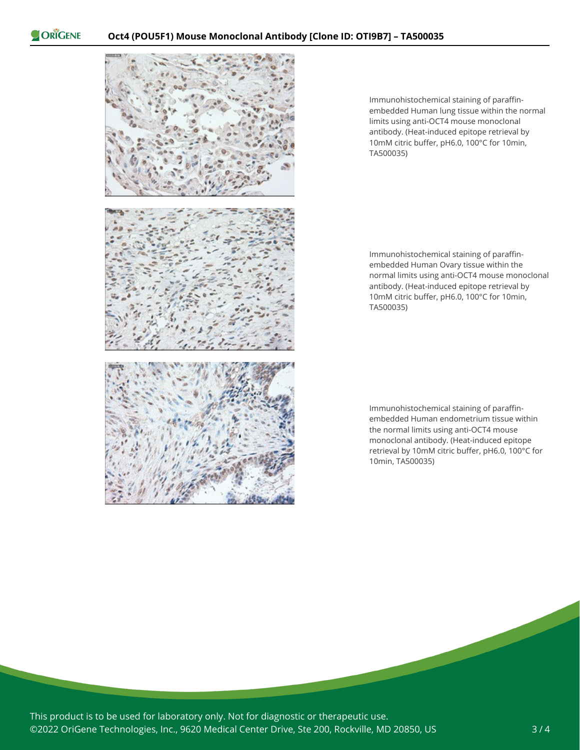ORIGENE



Immunohistochemical staining of paraffinembedded Human lung tissue within the normal limits using anti-OCT4 mouse monoclonal antibody. (Heat-induced epitope retrieval by 10mM citric buffer, pH6.0, 100°C for 10min, TA500035)

Immunohistochemical staining of paraffinembedded Human Ovary tissue within the normal limits using anti-OCT4 mouse monoclonal antibody. (Heat-induced epitope retrieval by 10mM citric buffer, pH6.0, 100°C for 10min, TA500035)

Immunohistochemical staining of paraffinembedded Human endometrium tissue within the normal limits using anti-OCT4 mouse monoclonal antibody. (Heat-induced epitope retrieval by 10mM citric buffer, pH6.0, 100°C for 10min, TA500035)